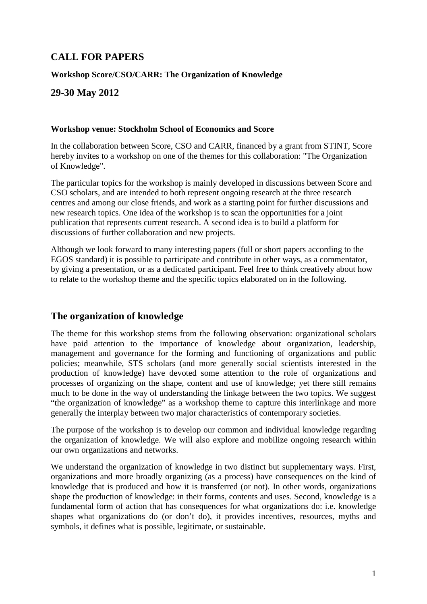# **CALL FOR PAPERS**

### **Workshop Score/CSO/CARR: The Organization of Knowledge**

## **29-30 May 2012**

#### **Workshop venue: Stockholm School of Economics and Score**

In the collaboration between Score, CSO and CARR, financed by a grant from STINT, Score hereby invites to a workshop on one of the themes for this collaboration: "The Organization of Knowledge".

The particular topics for the workshop is mainly developed in discussions between Score and CSO scholars, and are intended to both represent ongoing research at the three research centres and among our close friends, and work as a starting point for further discussions and new research topics. One idea of the workshop is to scan the opportunities for a joint publication that represents current research. A second idea is to build a platform for discussions of further collaboration and new projects.

Although we look forward to many interesting papers (full or short papers according to the EGOS standard) it is possible to participate and contribute in other ways, as a commentator, by giving a presentation, or as a dedicated participant. Feel free to think creatively about how to relate to the workshop theme and the specific topics elaborated on in the following.

### **The organization of knowledge**

The theme for this workshop stems from the following observation: organizational scholars have paid attention to the importance of knowledge about organization, leadership, management and governance for the forming and functioning of organizations and public policies; meanwhile, STS scholars (and more generally social scientists interested in the production of knowledge) have devoted some attention to the role of organizations and processes of organizing on the shape, content and use of knowledge; yet there still remains much to be done in the way of understanding the linkage between the two topics. We suggest "the organization of knowledge" as a workshop theme to capture this interlinkage and more generally the interplay between two major characteristics of contemporary societies.

The purpose of the workshop is to develop our common and individual knowledge regarding the organization of knowledge. We will also explore and mobilize ongoing research within our own organizations and networks.

We understand the organization of knowledge in two distinct but supplementary ways. First, organizations and more broadly organizing (as a process) have consequences on the kind of knowledge that is produced and how it is transferred (or not). In other words, organizations shape the production of knowledge: in their forms, contents and uses. Second, knowledge is a fundamental form of action that has consequences for what organizations do: i.e. knowledge shapes what organizations do (or don't do), it provides incentives, resources, myths and symbols, it defines what is possible, legitimate, or sustainable.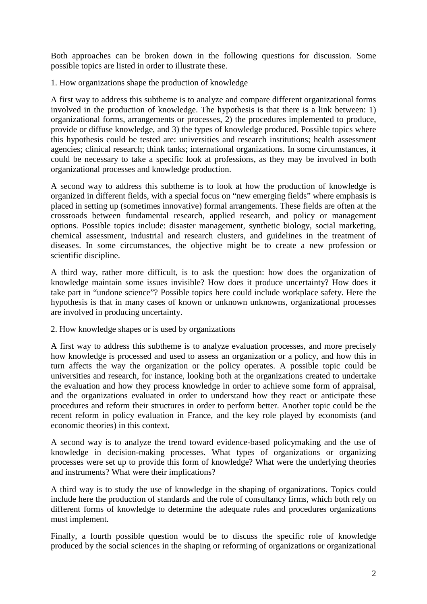Both approaches can be broken down in the following questions for discussion. Some possible topics are listed in order to illustrate these.

1. How organizations shape the production of knowledge

A first way to address this subtheme is to analyze and compare different organizational forms involved in the production of knowledge. The hypothesis is that there is a link between: 1) organizational forms, arrangements or processes, 2) the procedures implemented to produce, provide or diffuse knowledge, and 3) the types of knowledge produced. Possible topics where this hypothesis could be tested are: universities and research institutions; health assessment agencies; clinical research; think tanks; international organizations. In some circumstances, it could be necessary to take a specific look at professions, as they may be involved in both organizational processes and knowledge production.

A second way to address this subtheme is to look at how the production of knowledge is organized in different fields, with a special focus on "new emerging fields" where emphasis is placed in setting up (sometimes innovative) formal arrangements. These fields are often at the crossroads between fundamental research, applied research, and policy or management options. Possible topics include: disaster management, synthetic biology, social marketing, chemical assessment, industrial and research clusters, and guidelines in the treatment of diseases. In some circumstances, the objective might be to create a new profession or scientific discipline.

A third way, rather more difficult, is to ask the question: how does the organization of knowledge maintain some issues invisible? How does it produce uncertainty? How does it take part in "undone science"? Possible topics here could include workplace safety. Here the hypothesis is that in many cases of known or unknown unknowns, organizational processes are involved in producing uncertainty.

2. How knowledge shapes or is used by organizations

A first way to address this subtheme is to analyze evaluation processes, and more precisely how knowledge is processed and used to assess an organization or a policy, and how this in turn affects the way the organization or the policy operates. A possible topic could be universities and research, for instance, looking both at the organizations created to undertake the evaluation and how they process knowledge in order to achieve some form of appraisal, and the organizations evaluated in order to understand how they react or anticipate these procedures and reform their structures in order to perform better. Another topic could be the recent reform in policy evaluation in France, and the key role played by economists (and economic theories) in this context.

A second way is to analyze the trend toward evidence-based policymaking and the use of knowledge in decision-making processes. What types of organizations or organizing processes were set up to provide this form of knowledge? What were the underlying theories and instruments? What were their implications?

A third way is to study the use of knowledge in the shaping of organizations. Topics could include here the production of standards and the role of consultancy firms, which both rely on different forms of knowledge to determine the adequate rules and procedures organizations must implement.

Finally, a fourth possible question would be to discuss the specific role of knowledge produced by the social sciences in the shaping or reforming of organizations or organizational